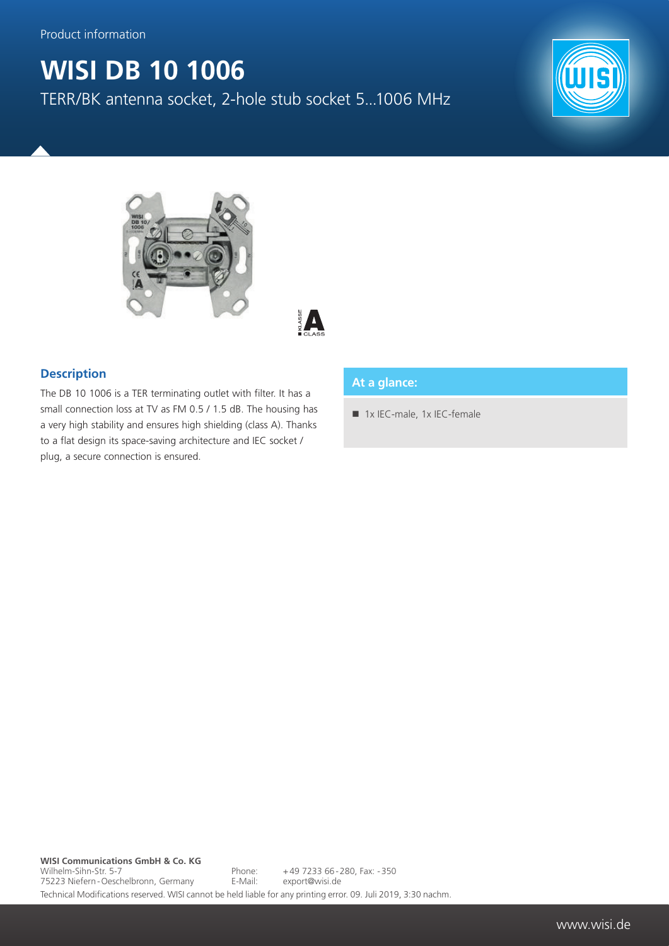Product information

## **WISI DB 10 1006**

TERR/BK antenna socket, 2-hole stub socket 5...1006 MHz







## **Description**

The DB 10 1006 is a TER terminating outlet with filter. It has a small connection loss at TV as FM 0.5 / 1.5 dB. The housing has a very high stability and ensures high shielding (class A). Thanks to a flat design its space-saving architecture and IEC socket / plug, a secure connection is ensured.

## **At a glance:**

1x IEC-male, 1x IEC-female